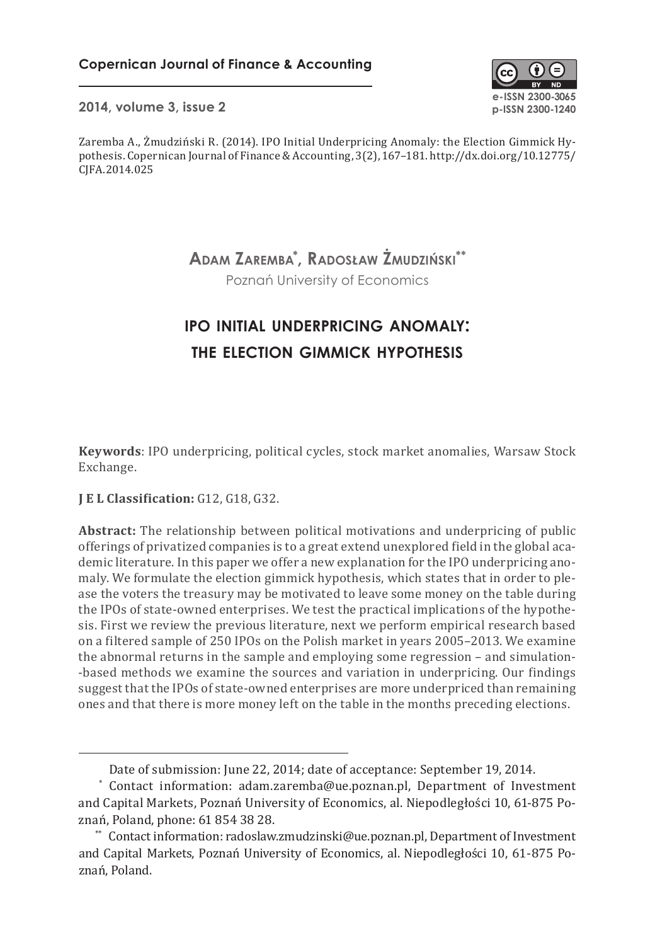

**2014, volume 3, issue 2 p-ISSN 2300-1240**

Zaremba A., Żmudziński R. (2014). IPO Initial Underpricing Anomaly: the Election Gimmick Hypothesis. Copernican Journal of Finance & Accounting, 3(2), 167–181. http://dx.doi.org/10.12775/ CJFA.2014.025

> **Adam Zaremba\* , Radosław Żmudziński\*\*** Poznań University of Economics

# **ipo initial underpricing anomaly: the election gimmick hypothesis**

**Keywords**: IPO underpricing, political cycles, stock market anomalies, Warsaw Stock Exchange.

# **J E L Classification:** G12, G18, G32.

**Abstract:** The relationship between political motivations and underpricing of public offerings of privatized companies is to a great extend unexplored field in the global academic literature. In this paper we offer a new explanation for the IPO underpricing anomaly. We formulate the election gimmick hypothesis, which states that in order to please the voters the treasury may be motivated to leave some money on the table during the IPOs of state-owned enterprises. We test the practical implications of the hypothesis. First we review the previous literature, next we perform empirical research based on a filtered sample of 250 IPOs on the Polish market in years 2005–2013. We examine the abnormal returns in the sample and employing some regression – and simulation- -based methods we examine the sources and variation in underpricing. Our findings suggest that the IPOs of state-owned enterprises are more underpriced than remaining ones and that there is more money left on the table in the months preceding elections.

Date of submission: June 22, 2014; date of acceptance: September 19, 2014.

<sup>\*</sup> Contact information: adam.zaremba@ue.poznan.pl, Department of Investment and Capital Markets, Poznań University of Economics, al. Niepodległości 10, 61-875 Poznań, Poland, phone: 61 854 38 28.

<sup>\*\*</sup> Contact information: radoslaw.zmudzinski@ue.poznan.pl, Department of Investment and Capital Markets, Poznań University of Economics, al. Niepodległości 10, 61- 875 Poznań, Poland.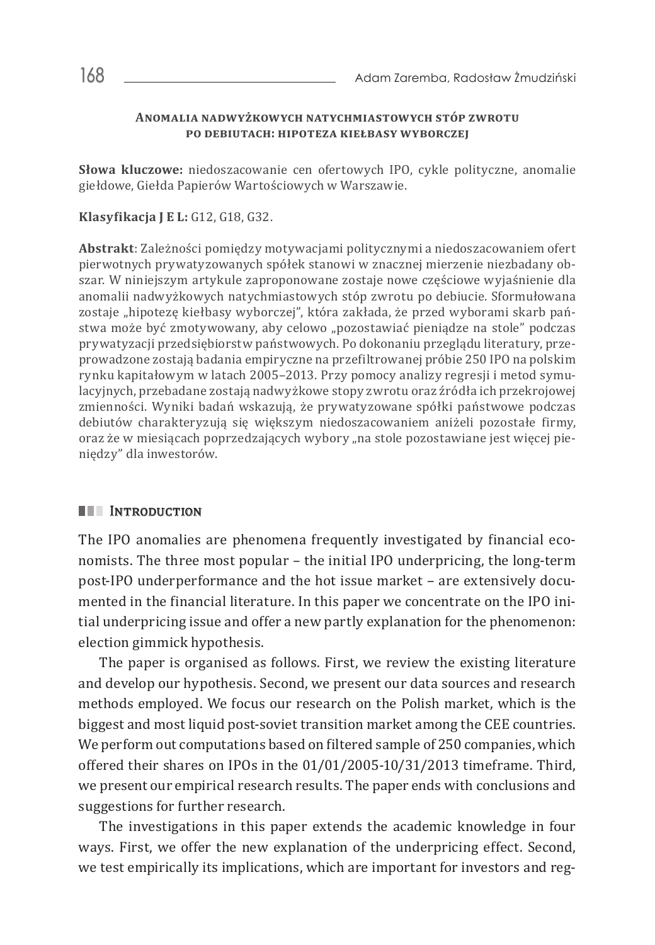### **Anomalia nadwyżkowych natychmiastowych stóp zwrotu po debiutach: hipoteza kiełbasy wyborczej**

**Słowa kluczowe:** niedoszacowanie cen ofertowych IPO, cykle polityczne, anomalie giełdowe, Giełda Papierów Wartościowych w Warszawie.

**Klasyfikacja J E L:** G12, G18, G32.

**Abstrakt**: Zależności pomiędzy motywacjami politycznymi a niedoszacowaniem ofert pierwotnych prywatyzowanych spółek stanowi w znacznej mierzenie niezbadany obszar. W niniejszym artykule zaproponowane zostaje nowe częściowe wyjaśnienie dla anomalii nadwyżkowych natychmiastowych stóp zwrotu po debiucie. Sformułowana zostaje "hipotezę kiełbasy wyborczej", która zakłada, że przed wyborami skarb państwa może być zmotywowany, aby celowo "pozostawiać pieniądze na stole" podczas prywatyzacji przedsiębiorstw państwowych. Po dokonaniu przeglądu literatury, przeprowadzone zostają badania empiryczne na przefiltrowanej próbie 250 IPO na polskim rynku kapitałowym w latach 2005–2013. Przy pomocy analizy regresji i metod symulacyjnych, przebadane zostają nadwyżkowe stopy zwrotu oraz źródła ich przekrojowej zmienności. Wyniki badań wskazują, że prywatyzowane spółki państwowe podczas debiutów charakteryzują się większym niedoszacowaniem aniżeli pozostałe firmy, oraz że w miesiącach poprzedzających wybory "na stole pozostawiane jest więcej pieniędzy" dla inwestorów.

# **III** INTRODUCTION

The IPO anomalies are phenomena frequently investigated by financial economists. The three most popular – the initial IPO underpricing, the long-term post-IPO underperformance and the hot issue market – are extensively documented in the financial literature. In this paper we concentrate on the IPO initial underpricing issue and offer a new partly explanation for the phenomenon: election gimmick hypothesis.

The paper is organised as follows. First, we review the existing literature and develop our hypothesis. Second, we present our data sources and research methods employed. We focus our research on the Polish market, which is the biggest and most liquid post-soviet transition market among the CEE countries. We perform out computations based on filtered sample of 250 companies, which offered their shares on IPOs in the 01/01/2005-10/31/2013 timeframe. Third, we present our empirical research results. The paper ends with conclusions and suggestions for further research.

The investigations in this paper extends the academic knowledge in four ways. First, we offer the new explanation of the underpricing effect. Second, we test empirically its implications, which are important for investors and reg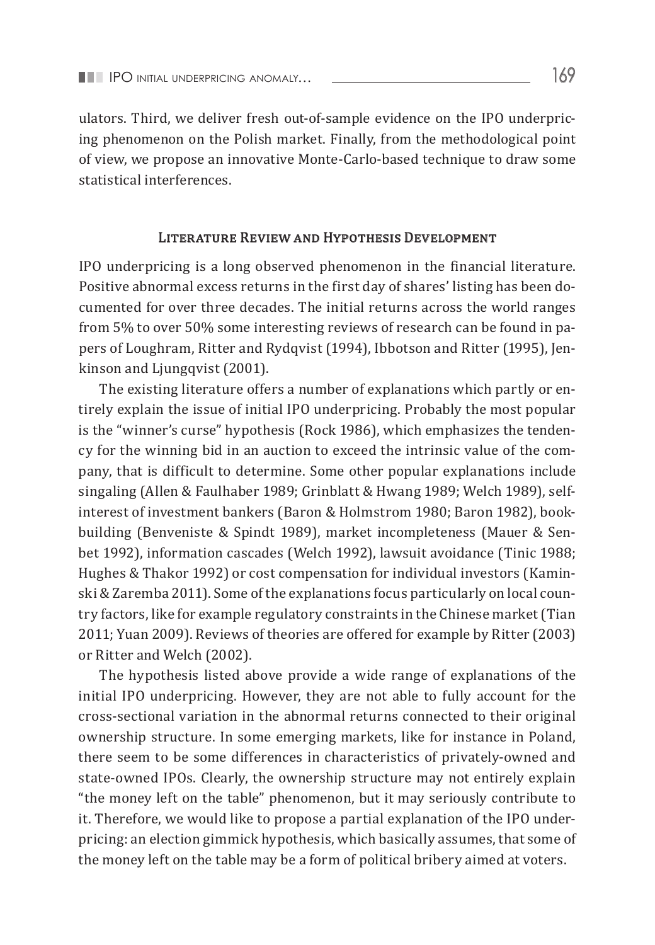ulators. Third, we deliver fresh out-of-sample evidence on the IPO underpricing phenomenon on the Polish market. Finally, from the methodological point of view, we propose an innovative Monte-Carlo-based technique to draw some statistical interferences.

#### Literature Review and Hypothesis Development

IPO underpricing is a long observed phenomenon in the financial literature. Positive abnormal excess returns in the first day of shares' listing has been documented for over three decades. The initial returns across the world ranges from 5% to over 50% some interesting reviews of research can be found in papers of Loughram, Ritter and Rydqvist (1994), Ibbotson and Ritter (1995), Jenkinson and Ljungqvist (2001).

The existing literature offers a number of explanations which partly or entirely explain the issue of initial IPO underpricing. Probably the most popular is the "winner's curse" hypothesis (Rock 1986), which emphasizes the tendency for the winning bid in an auction to exceed the intrinsic value of the company, that is difficult to determine. Some other popular explanations include singaling (Allen & Faulhaber 1989; Grinblatt & Hwang 1989; Welch 1989), selfinterest of investment bankers (Baron & Holmstrom 1980; Baron 1982), bookbuilding (Benveniste & Spindt 1989), market incompleteness (Mauer & Senbet 1992), information cascades (Welch 1992), lawsuit avoidance (Tinic 1988; Hughes & Thakor 1992) or cost compensation for individual investors (Kaminski & Zaremba 2011). Some of the explanations focus particularly on local country factors, like for example regulatory constraints in the Chinese market (Tian 2011; Yuan 2009). Reviews of theories are offered for example by Ritter (2003) or Ritter and Welch (2002).

The hypothesis listed above provide a wide range of explanations of the initial IPO underpricing. However, they are not able to fully account for the cross-sectional variation in the abnormal returns connected to their original ownership structure. In some emerging markets, like for instance in Poland, there seem to be some differences in characteristics of privately-owned and state-owned IPOs. Clearly, the ownership structure may not entirely explain "the money left on the table" phenomenon, but it may seriously contribute to it. Therefore, we would like to propose a partial explanation of the IPO underpricing: an election gimmick hypothesis, which basically assumes, that some of the money left on the table may be a form of political bribery aimed at voters.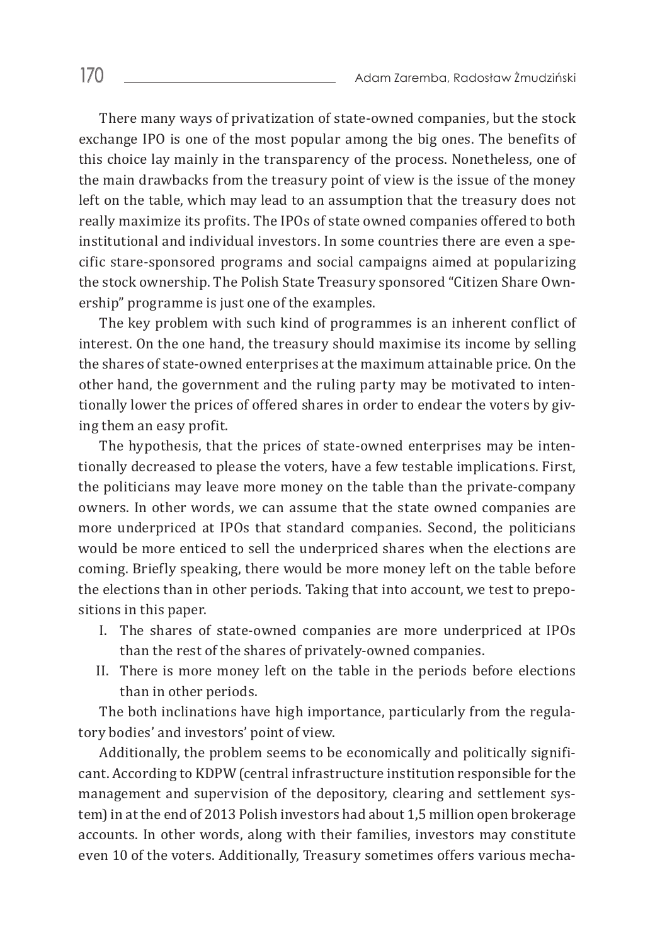There many ways of privatization of state-owned companies, but the stock exchange IPO is one of the most popular among the big ones. The benefits of this choice lay mainly in the transparency of the process. Nonetheless, one of the main drawbacks from the treasury point of view is the issue of the money left on the table, which may lead to an assumption that the treasury does not really maximize its profits. The IPOs of state owned companies offered to both institutional and individual investors. In some countries there are even a specific stare-sponsored programs and social campaigns aimed at popularizing the stock ownership. The Polish State Treasury sponsored "Citizen Share Ownership" programme is just one of the examples.

The key problem with such kind of programmes is an inherent conflict of interest. On the one hand, the treasury should maximise its income by selling the shares of state-owned enterprises at the maximum attainable price. On the other hand, the government and the ruling party may be motivated to intentionally lower the prices of offered shares in order to endear the voters by giving them an easy profit.

The hypothesis, that the prices of state-owned enterprises may be intentionally decreased to please the voters, have a few testable implications. First, the politicians may leave more money on the table than the private-company owners. In other words, we can assume that the state owned companies are more underpriced at IPOs that standard companies. Second, the politicians would be more enticed to sell the underpriced shares when the elections are coming. Briefly speaking, there would be more money left on the table before the elections than in other periods. Taking that into account, we test to prepositions in this paper.

- I. The shares of state-owned companies are more underpriced at IPOs than the rest of the shares of privately-owned companies.
- II. There is more money left on the table in the periods before elections than in other periods.

The both inclinations have high importance, particularly from the regulatory bodies' and investors' point of view.

Additionally, the problem seems to be economically and politically significant. According to KDPW (central infrastructure institution responsible for the management and supervision of the depository, clearing and settlement system) in at the end of 2013 Polish investors had about 1,5 million open brokerage accounts. In other words, along with their families, investors may constitute even 10 of the voters. Additionally, Treasury sometimes offers various mecha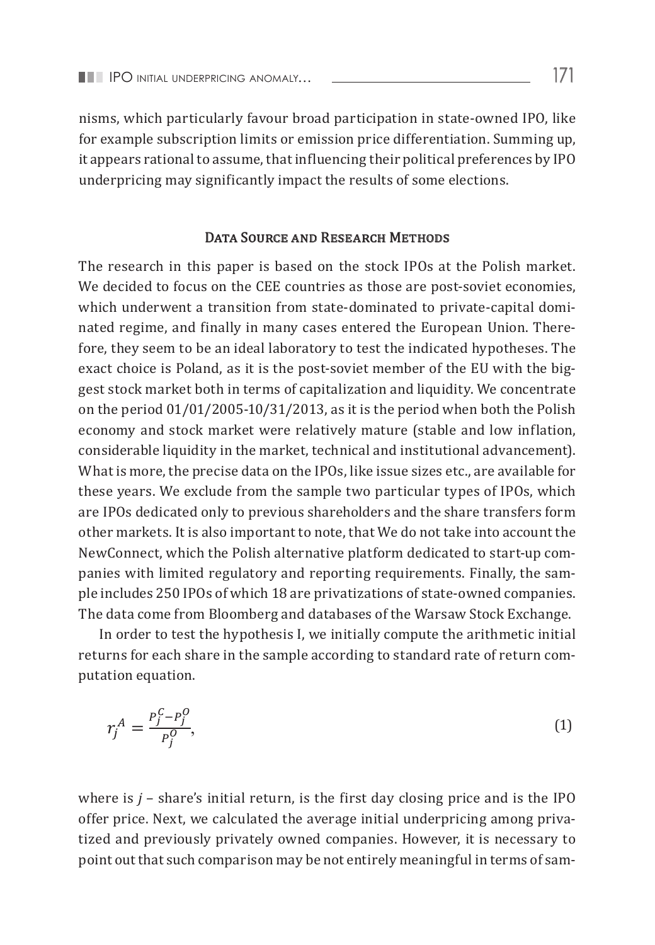nisms, which particularly favour broad participation in state-owned IPO, like for example subscription limits or emission price differentiation. Summing up, it appears rational to assume, that influencing their political preferences by IPO underpricing may significantly impact the results of some elections.

# DATA SOURCE AND RESEARCH METHODS

The research in this paper is based on the stock IPOs at the Polish market. We decided to focus on the CEE countries as those are post-soviet economies, which underwent a transition from state-dominated to private-capital dominated regime, and finally in many cases entered the European Union. Therefore, they seem to be an ideal laboratory to test the indicated hypotheses. The exact choice is Poland, as it is the post-soviet member of the EU with the biggest stock market both in terms of capitalization and liquidity. We concentrate on the period  $01/01/2005$ - $10/31/2013$ , as it is the period when both the Polish economy and stock market were relatively mature (stable and low inflation, considerable liquidity in the market, technical and institutional advancement). What is more, the precise data on the IPOs, like issue sizes etc., are available for these years. We exclude from the sample two particular types of IPOs, which are IPOs dedicated only to previous shareholders and the share transfers form other markets. It is also important to note, that We do not take into account the NewConnect, which the Polish alternative platform dedicated to start-up companies with limited regulatory and reporting requirements. Finally, the sample includes 250 IPOs of which 18 are privatizations of state-owned companies. The data come from Bloomberg and databases of the Warsaw Stock Exchange.

In order to test the hypothesis I, we initially compute the arithmetic initial returns for the test the hypothesis I, we initially compute the arithmetic initial returns for each share in the sample according to standard rate of return computation equation.

$$
r_j^A = \frac{P_j^C - P_j^O}{P_j^O},\tag{1}
$$

where is  $j$  – share's initial return, is the first day closing price and is the IPO  $\frac{1}{2}$ tized and previously privately owned companies. However, it is necessary to point out that such comparison may be not entirely meaningful in terms of samoffer price. Next, we calculated the average initial underpricing among priva-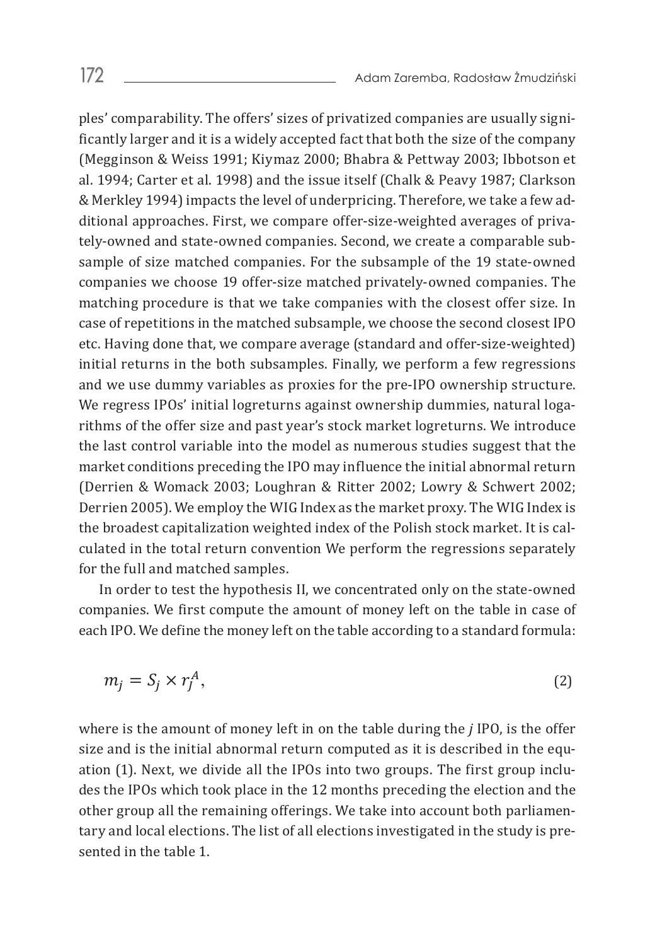ples' comparability. The offers' sizes of privatized companies are usually significantly larger and it is a widely accepted fact that both the size of the company (Megginson & Weiss 1991; Kiymaz 2000; Bhabra & Pettway 2003; Ibbotson et al. 1994; Carter et al. 1998) and the issue itself (Chalk & Peavy 1987; Clarkson & Merkley 1994) impacts the level of underpricing. Therefore, we take a few additional approaches. First, we compare offer-size-weighted averages of privately-owned and state-owned companies. Second, we create a comparable subsample of size matched companies. For the subsample of the 19 state-owned companies we choose 19 offer-size matched privately-owned companies. The matching procedure is that we take companies with the closest offer size. In case of repetitions in the matched subsample, we choose the second closest IPO etc. Having done that, we compare average (standard and offer-size-weighted) initial returns in the both subsamples. Finally, we perform a few regressions and we use dummy variables as proxies for the pre-IPO ownership structure. We regress IPOs' initial logreturns against ownership dummies, natural logarithms of the offer size and past year's stock market logreturns. We introduce the last control variable into the model as numerous studies suggest that the model as the MIG Index as the MIG market conditions preceding the IPO may influence the initial abnormal return (Derrien & Womack 2003; Loughran & Ritter 2002; Lowry & Schwert 2002;  $(201)$  and  $\alpha$  womath 2009) Boughtan  $\alpha$  matter 2002,  $200$ ,  $\alpha$  only  $\alpha$  between 2005). the broadest capitalization weighted index of the Polish stock market. It is calculated in the total return convention We perform the regressions separately<br>for the full and matched complex for the full and matched samples.

In order to test the hypothesis II, we concentrated only on the state-owned companies. We first compute the amount of money left on the table in case of each IPO. We define the money left on the table according to a standard formula:  $\frac{1}{2}$  companies. We first compute t

$$
m_j = S_j \times r_j^A,\tag{2}
$$

size and is the initial abnormal return computed as it is described in the equation (1). Next, we divide all the IPOs into two groups. The first group incluother group all the remaining offerings. We take into account both parliamentary and local elections. The list of all elections investigated in the study is pre-<br>conted in the table 1 where is the amount of money left in on the table during the *j* IPO, is the offer des the IPOs which took place in the 12 months preceding the election and the sented in the table 1.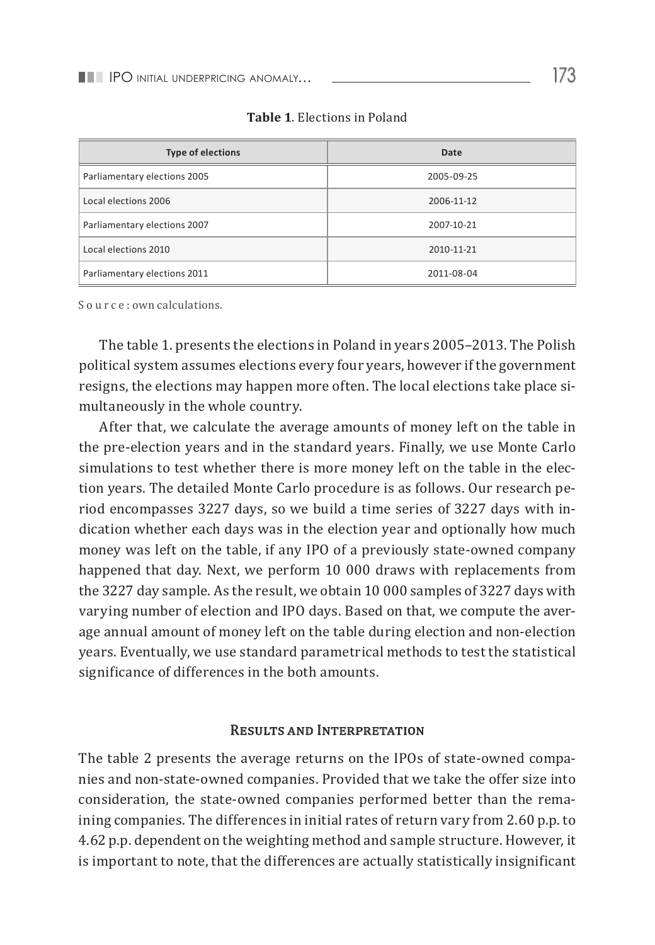| <b>Type of elections</b>     | Date       |
|------------------------------|------------|
| Parliamentary elections 2005 | 2005-09-25 |
| Local elections 2006         | 2006-11-12 |
| Parliamentary elections 2007 | 2007-10-21 |
| Local elections 2010         | 2010-11-21 |
| Parliamentary elections 2011 | 2011-08-04 |

**Table 1**. Elections in Poland

Source: own calculations.

The table 1. presents the elections in Poland in years 2005–2013. The Polish political system assumes elections every four years, however if the government resigns, the elections may happen more often. The local elections take place simultaneously in the whole country.

After that, we calculate the average amounts of money left on the table in the pre-election years and in the standard years. Finally, we use Monte Carlo simulations to test whether there is more money left on the table in the election years. The detailed Monte Carlo procedure is as follows. Our research period encompasses 3227 days, so we build a time series of 3227 days with indication whether each days was in the election year and optionally how much money was left on the table, if any IPO of a previously state-owned company happened that day. Next, we perform 10 000 draws with replacements from the 3227 day sample. As the result, we obtain 10 000 samples of 3227 days with varying number of election and IPO days. Based on that, we compute the average annual amount of money left on the table during election and non-election years. Eventually, we use standard parametrical methods to test the statistical significance of differences in the both amounts.

## Results and Interpretation

The table 2 presents the average returns on the IPOs of state-owned companies and non-state-owned companies. Provided that we take the offer size into consideration, the state-owned companies performed better than the remaining companies. The differences in initial rates of return vary from 2.60 p.p. to 4.62 p.p. dependent on the weighting method and sample structure. However, it is important to note, that the differences are actually statistically insignificant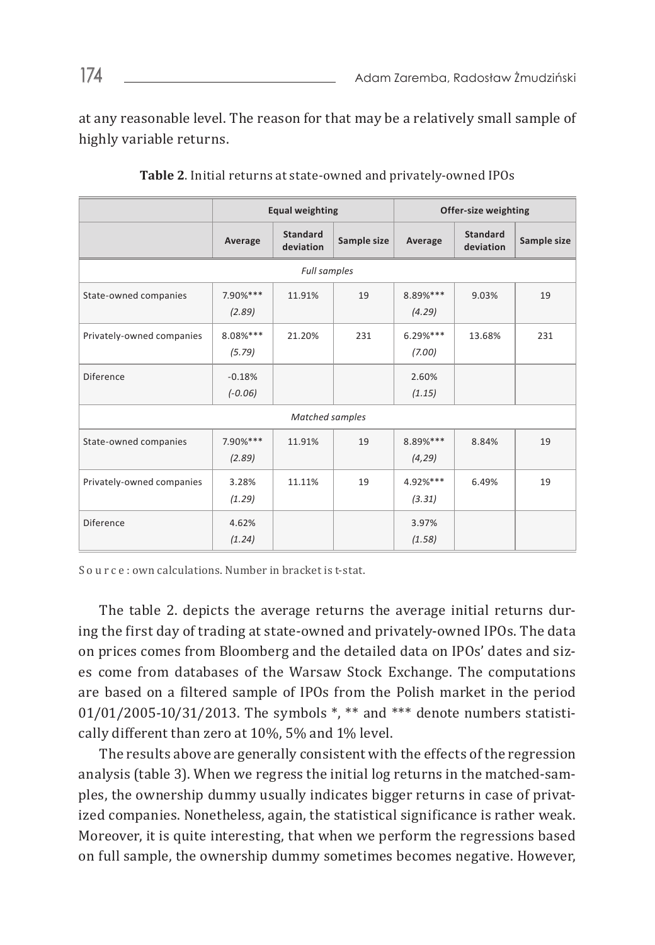at any reasonable level. The reason for that may be a relatively small sample of highly variable returns.

|                           | <b>Equal weighting</b> |                              |             | Offer-size weighting |                              |             |
|---------------------------|------------------------|------------------------------|-------------|----------------------|------------------------------|-------------|
|                           | Average                | <b>Standard</b><br>deviation | Sample size | Average              | <b>Standard</b><br>deviation | Sample size |
|                           |                        | Full samples                 |             |                      |                              |             |
| State-owned companies     | $7.90%***$<br>(2.89)   | 11.91%                       | 19          | 8.89%***<br>(4.29)   | 9.03%                        | 19          |
| Privately-owned companies | 8.08%***<br>(5.79)     | 21.20%                       | 231         | $6.29%***$<br>(7.00) | 13.68%                       | 231         |
| Diference                 | $-0.18%$<br>$(-0.06)$  |                              |             | 2.60%<br>(1.15)      |                              |             |
| Matched samples           |                        |                              |             |                      |                              |             |
| State-owned companies     | 7.90%***<br>(2.89)     | 11.91%                       | 19          | 8.89%***<br>(4, 29)  | 8.84%                        | 19          |
| Privately-owned companies | 3.28%<br>(1.29)        | 11.11%                       | 19          | 4.92%***<br>(3.31)   | 6.49%                        | 19          |
| Diference                 | 4.62%<br>(1.24)        |                              |             | 3.97%<br>(1.58)      |                              |             |

**Table 2**. Initial returns at state-owned and privately-owned IPOs

S o u r c e : own calculations. Number in bracket is t-stat.

The table 2. depicts the average returns the average initial returns during the first day of trading at state-owned and privately-owned IPOs. The data on prices comes from Bloomberg and the detailed data on IPOs' dates and sizes come from databases of the Warsaw Stock Exchange. The computations are based on a filtered sample of IPOs from the Polish market in the period 01/01/2005-10/31/2013. The symbols \*, \*\* and \*\*\* denote numbers statistically different than zero at 10%, 5% and 1% level.

The results above are generally consistent with the effects of the regression analysis (table 3). When we regress the initial log returns in the matched-samples, the ownership dummy usually indicates bigger returns in case of privatized companies. Nonetheless, again, the statistical significance is rather weak. Moreover, it is quite interesting, that when we perform the regressions based on full sample, the ownership dummy sometimes becomes negative. However,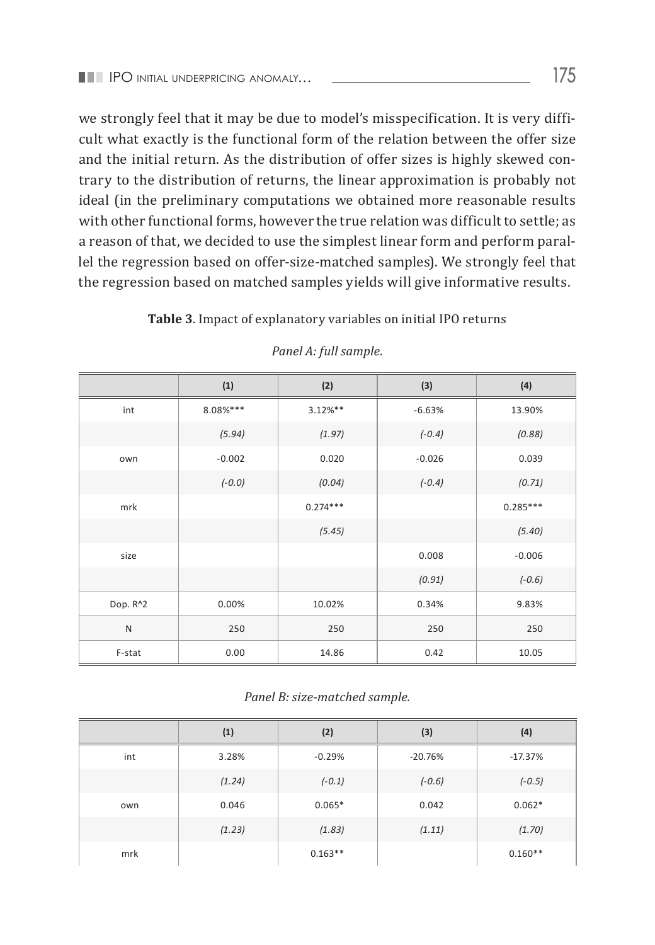we strongly feel that it may be due to model's misspecification. It is very difficult what exactly is the functional form of the relation between the offer size and the initial return. As the distribution of offer sizes is highly skewed contrary to the distribution of returns, the linear approximation is probably not ideal (in the preliminary computations we obtained more reasonable results with other functional forms, however the true relation was difficult to settle; as a reason of that, we decided to use the simplest linear form and perform parallel the regression based on offer-size-matched samples). We strongly feel that the regression based on matched samples yields will give informative results.

#### **Table 3**. Impact of explanatory variables on initial IPO returns

|              | (1)      | (2)        | (3)      | (4)        |
|--------------|----------|------------|----------|------------|
| int          | 8.08%*** | $3.12%$ ** | $-6.63%$ | 13.90%     |
|              | (5.94)   | (1.97)     | $(-0.4)$ | (0.88)     |
| own          | $-0.002$ | 0.020      | $-0.026$ | 0.039      |
|              | $(-0.0)$ | (0.04)     | $(-0.4)$ | (0.71)     |
| mrk          |          | $0.274***$ |          | $0.285***$ |
|              |          | (5.45)     |          | (5.40)     |
| size         |          |            | 0.008    | $-0.006$   |
|              |          |            | (0.91)   | $(-0.6)$   |
| Dop. R^2     | 0.00%    | 10.02%     | 0.34%    | 9.83%      |
| $\mathsf{N}$ | 250      | 250        | 250      | 250        |
| F-stat       | 0.00     | 14.86      | 0.42     | 10.05      |

#### *Panel A: full sample.*

#### *Panel B: size-matched sample.*

|     | (1)    | (2)       | (3)       | (4)       |
|-----|--------|-----------|-----------|-----------|
| int | 3.28%  | $-0.29%$  | $-20.76%$ | $-17.37%$ |
|     | (1.24) | $(-0.1)$  | $(-0.6)$  | $(-0.5)$  |
| own | 0.046  | $0.065*$  | 0.042     | $0.062*$  |
|     | (1.23) | (1.83)    | (1.11)    | (1.70)    |
| mrk |        | $0.163**$ |           | $0.160**$ |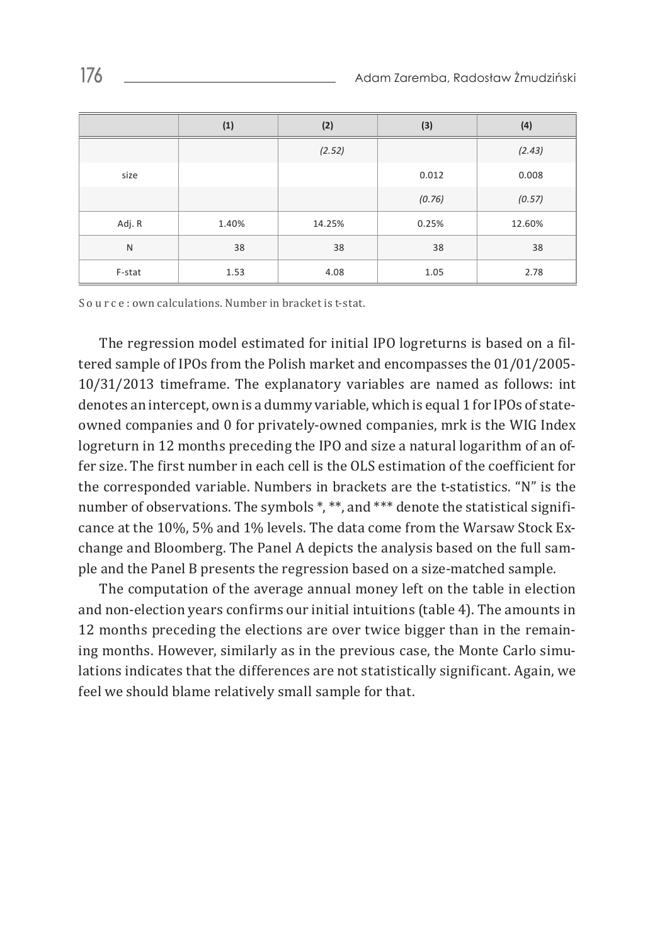|              | (1)   | (2)    | (3)    | (4)    |
|--------------|-------|--------|--------|--------|
|              |       | (2.52) |        | (2.43) |
| size         |       |        | 0.012  | 0.008  |
|              |       |        | (0.76) | (0.57) |
| Adj. R       | 1.40% | 14.25% | 0.25%  | 12.60% |
| $\mathsf{N}$ | 38    | 38     | 38     | 38     |
| F-stat       | 1.53  | 4.08   | 1.05   | 2.78   |

S o u r c e : own calculations. Number in bracket is t-stat.

The regression model estimated for initial IPO logreturns is based on a filtered sample of IPOs from the Polish market and encompasses the 01/01/2005- 10/31/2013 timeframe. The explanatory variables are named as follows: int denotes an intercept, own is a dummy variable, which is equal 1 for IPOs of stateowned companies and 0 for privately-owned companies, mrk is the WIG Index logreturn in 12 months preceding the IPO and size a natural logarithm of an offer size. The first number in each cell is the OLS estimation of the coefficient for the corresponded variable. Numbers in brackets are the t-statistics. "N" is the number of observations. The symbols \*, \*\*, and \*\*\* denote the statistical significance at the 10%, 5% and 1% levels. The data come from the Warsaw Stock Exchange and Bloomberg. The Panel A depicts the analysis based on the full sample and the Panel B presents the regression based on a size-matched sample.

The computation of the average annual money left on the table in election and non-election years confirms our initial intuitions (table 4). The amounts in 12 months preceding the elections are over twice bigger than in the remaining months. However, similarly as in the previous case, the Monte Carlo simulations indicates that the differences are not statistically significant. Again, we feel we should blame relatively small sample for that.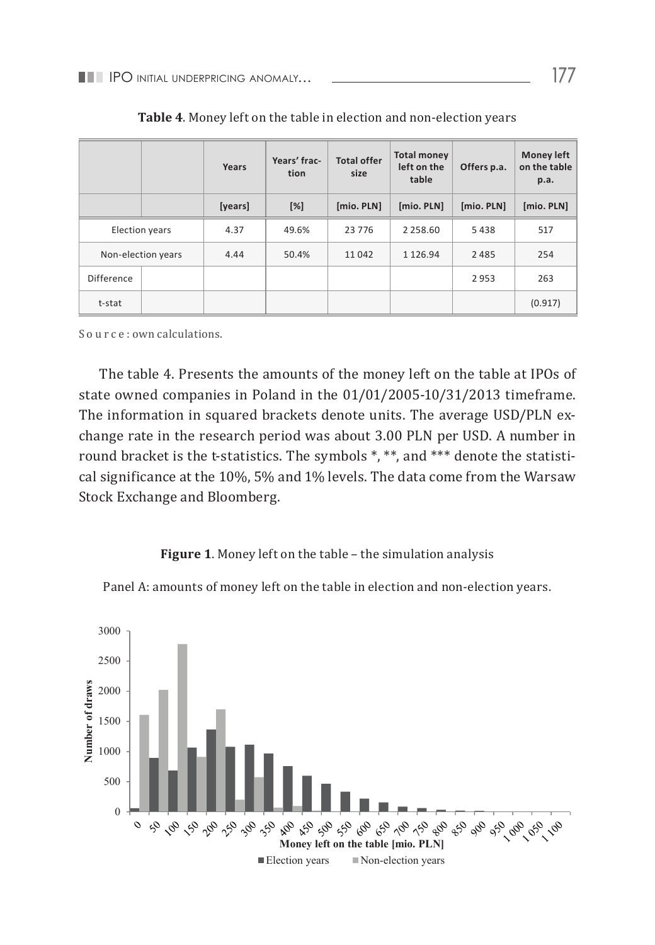|                   |                    | Years   | Years' frac-<br>tion | <b>Total offer</b><br>size | <b>Total money</b><br>left on the<br>table | Offers p.a. | Money left<br>on the table<br>p.a. |
|-------------------|--------------------|---------|----------------------|----------------------------|--------------------------------------------|-------------|------------------------------------|
|                   |                    | [years] | $[\%]$               | [mio. PLN]                 | [mio. PLN]                                 | [mio. PLN]  | [mio. PLN]                         |
|                   | Election years     | 4.37    | 49.6%                | 23 7 7 6                   | 2 2 5 8 . 6 0                              | 5438        | 517                                |
|                   | Non-election years | 4.44    | 50.4%                | 11042                      | 1 1 2 6 . 9 4                              | 2485        | 254                                |
| <b>Difference</b> |                    |         |                      |                            |                                            | 2953        | 263                                |
| t-stat            |                    |         |                      |                            |                                            |             | (0.917)                            |

| Table 4. Money left on the table in election and non-election years |  |
|---------------------------------------------------------------------|--|
|---------------------------------------------------------------------|--|

S o u r c e : own calculations.

The table 4. Presents the amounts of the money left on the table at IPOs of state owned companies in Poland in the 01/01/2005-10/31/2013 timeframe. The information in squared brackets denote units. The average USD/PLN exchange rate in the research period was about 3.00 PLN per USD. A number in round bracket is the t-statistics. The symbols \*, \*\*, and \*\*\* denote the statistical significance at the 10%, 5% and 1% levels. The data come from the Warsaw Stock Exchange and Bloomberg.

## **Figure 1**. Money left on the table – the simulation analysis

Panel A: amounts of money left on the table in election and non-election years.  $\frac{1}{\sqrt{2}}$  . Money is the simulation of the simulation  $\frac{1}{\sqrt{2}}$ 

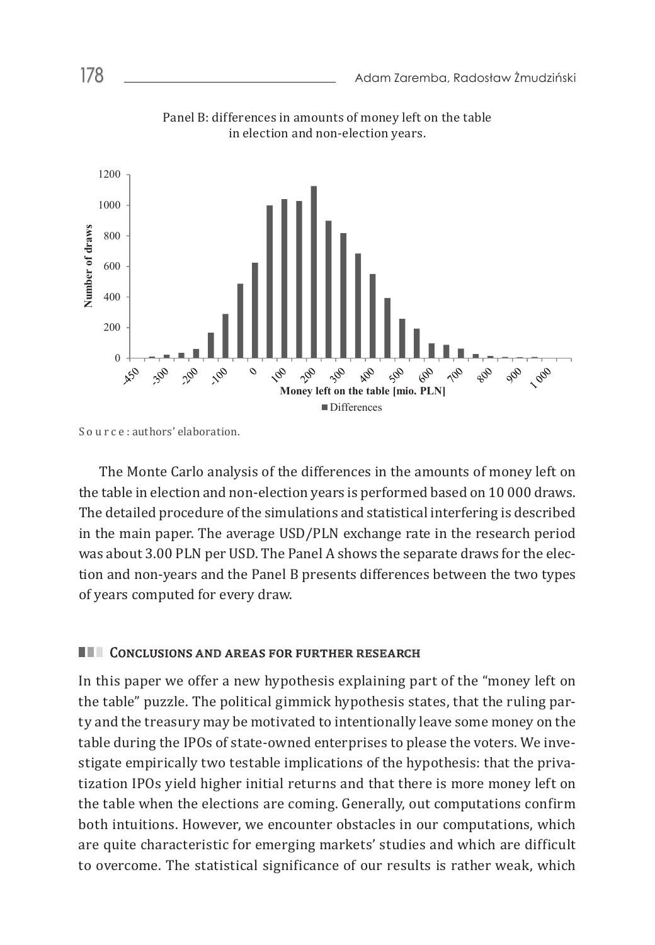

Panel B: differences in amounts of money left on the table in election and non-election years.

The Monte Carlo analysis of the differences in the amounts of money left on the table in The Monte Carlo analysis of the differences in the amounts of money left on The detailed procedure of the simulations and statistical interfering is described the table in election and non-election years is performed based on 10 000 draws. in the main paper. The average USD/PLN exchange rate in the research period was about 3.00 PLN per USD. The Panel A shows the separate draws for the election and non-years and the Panel B presents differences between the two types of years computed for every draw.

# Conclusions and areas for further research

In this paper we offer a new hypothesis explaining part of the "money left on the table" puzzle. The political gimmick hypothesis states, that the ruling party and the treasury may be motivated to intentionally leave some money on the table during the IPOs of state-owned enterprises to please the voters. We investigate empirically two testable implications of the hypothesis: that the privatization IPOs yield higher initial returns and that there is more money left on the table when the elections are coming. Generally, out computations confirm both intuitions. However, we encounter obstacles in our computations, which are quite characteristic for emerging markets' studies and which are difficult to overcome. The statistical significance of our results is rather weak, which

S o u r c e : authors' elaboration.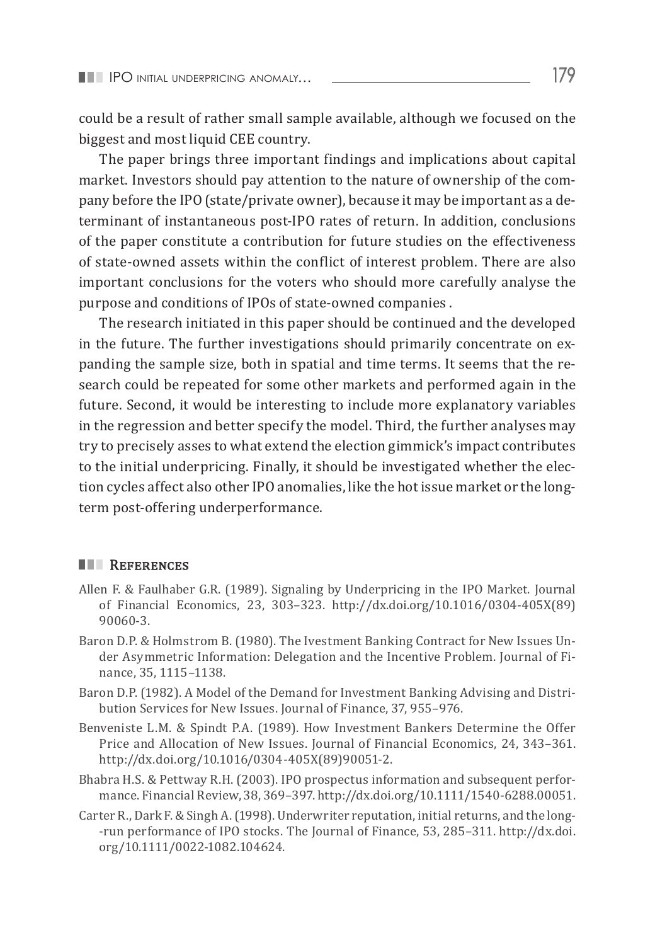could be a result of rather small sample available, although we focused on the biggest and most liquid CEE country.

The paper brings three important findings and implications about capital market. Investors should pay attention to the nature of ownership of the company before the IPO (state/private owner), because it may be important as a determinant of instantaneous post-IPO rates of return. In addition, conclusions of the paper constitute a contribution for future studies on the effectiveness of state-owned assets within the conflict of interest problem. There are also important conclusions for the voters who should more carefully analyse the purpose and conditions of IPOs of state-owned companies .

The research initiated in this paper should be continued and the developed in the future. The further investigations should primarily concentrate on expanding the sample size, both in spatial and time terms. It seems that the research could be repeated for some other markets and performed again in the future. Second, it would be interesting to include more explanatory variables in the regression and better specify the model. Third, the further analyses may try to precisely asses to what extend the election gimmick's impact contributes to the initial underpricing. Finally, it should be investigated whether the election cycles affect also other IPO anomalies, like the hot issue market or the longterm post-offering underperformance.

#### **REFERENCES**

- Allen F. & Faulhaber G.R. (1989). Signaling by Underpricing in the IPO Market. Journal of Financial Economics, 23, 303–323. http://dx.doi.org/10.1016/0304-405X(89) 90060-3.
- Baron D.P. & Holmstrom B. (1980). The Ivestment Banking Contract for New Issues Under Asymmetric Information: Delegation and the Incentive Problem. Journal of Finance, 35, 1115–1138.
- Baron D.P. (1982). A Model of the Demand for Investment Banking Advising and Distribution Services for New Issues. Journal of Finance, 37, 955–976.
- Benveniste L.M. & Spindt P.A. (1989). How Investment Bankers Determine the Offer Price and Allocation of New Issues. Journal of Financial Economics, 24, 343–361. http://dx.doi.org/10.1016/0304-405X(89)90051-2.
- Bhabra H.S. & Pettway R.H. (2003). IPO prospectus information and subsequent performance. Financial Review, 38, 369–397. http://dx.doi.org/10.1111/1540-6288.00051.
- Carter R., Dark F. & Singh A. (1998). Underwriter reputation, initial returns, and the long- -run performance of IPO stocks. The Journal of Finance, 53, 285–311. http://dx.doi. org/10.1111/0022-1082.104624.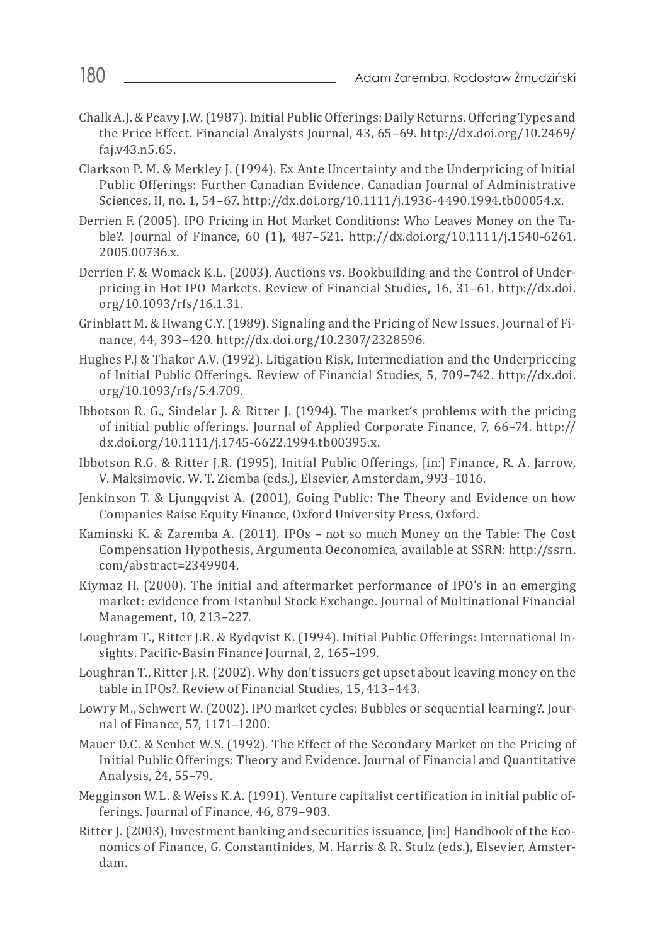- Chalk A.J. & Peavy J.W. (1987). Initial Public Offerings: Daily Returns. Offering Types and the Price Effect. Financial Analysts Journal, 43, 65–69. http://dx.doi.org/10.2469/ faj.v43.n5.65.
- Clarkson P. M. & Merkley J. (1994). Ex Ante Uncertainty and the Underpricing of Initial Public Offerings: Further Canadian Evidence. Canadian Journal of Administrative Sciences, II, no. 1, 54–67. http://dx.doi.org/10.1111/j.1936-4490.1994.tb00054.x.
- Derrien F. (2005). IPO Pricing in Hot Market Conditions: Who Leaves Money on the Table?. Journal of Finance, 60 (1), 487–521. http://dx.doi.org/10.1111/j.1540-6261. 2005.00736.x.
- Derrien F. & Womack K.L. (2003). Auctions vs. Bookbuilding and the Control of Underpricing in Hot IPO Markets. Review of Financial Studies, 16, 31–61. http://dx.doi. org/10.1093/rfs/16.1.31.
- Grinblatt M. & Hwang C.Y. (1989). Signaling and the Pricing of New Issues. Journal of Finance, 44, 393–420. http://dx.doi.org/10.2307/2328596.
- Hughes P.J & Thakor A.V. (1992). Litigation Risk, Intermediation and the Underpriccing of Initial Public Offerings. Review of Financial Studies, 5, 709–742. http://dx.doi. org/10.1093/rfs/5.4.709.
- Ibbotson R. G., Sindelar J. & Ritter J. (1994). The market's problems with the pricing of initial public offerings. Journal of Applied Corporate Finance, 7, 66–74. http:// dx.doi.org/10.1111/j.1745-6622.1994.tb00395.x.
- Ibbotson R.G. & Ritter J.R. (1995), Initial Public Offerings, [in:] Finance, R. A. Jarrow, V. Maksimovic, W. T. Ziemba (eds.), Elsevier, Amsterdam, 993–1016.
- Jenkinson T. & Ljungqvist A. (2001), Going Public: The Theory and Evidence on how Companies Raise Equity Finance, Oxford University Press, Oxford.
- Kaminski K. & Zaremba A. (2011). IPOs not so much Money on the Table: The Cost Compensation Hypothesis, Argumenta Oeconomica, available at SSRN: http://ssrn. com/abstract=2349904.
- Kiymaz H. (2000). The initial and aftermarket performance of IPO's in an emerging market: evidence from Istanbul Stock Exchange. Journal of Multinational Financial Management, 10, 213–227.
- Loughram T., Ritter J.R. & Rydqvist K. (1994). Initial Public Offerings: International Insights. Pacific-Basin Finance Journal, 2, 165–199.
- Loughran T., Ritter J.R. (2002). Why don't issuers get upset about leaving money on the table in IPOs?. Review of Financial Studies, 15, 413–443.
- Lowry M., Schwert W. (2002). IPO market cycles: Bubbles or sequential learning?. Journal of Finance, 57, 1171–1200.
- Mauer D.C. & Senbet W.S. (1992). The Effect of the Secondary Market on the Pricing of Initial Public Offerings: Theory and Evidence. Journal of Financial and Quantitative Analysis, 24, 55–79.
- Megginson W.L. & Weiss K.A. (1991). Venture capitalist certification in initial public offerings. Journal of Finance, 46, 879–903.
- Ritter J. (2003), Investment banking and securities issuance, [in:] Handbook of the Economics of Finance, G. Constantinides, M. Harris & R. Stulz (eds.), Elsevier, Amsterdam.